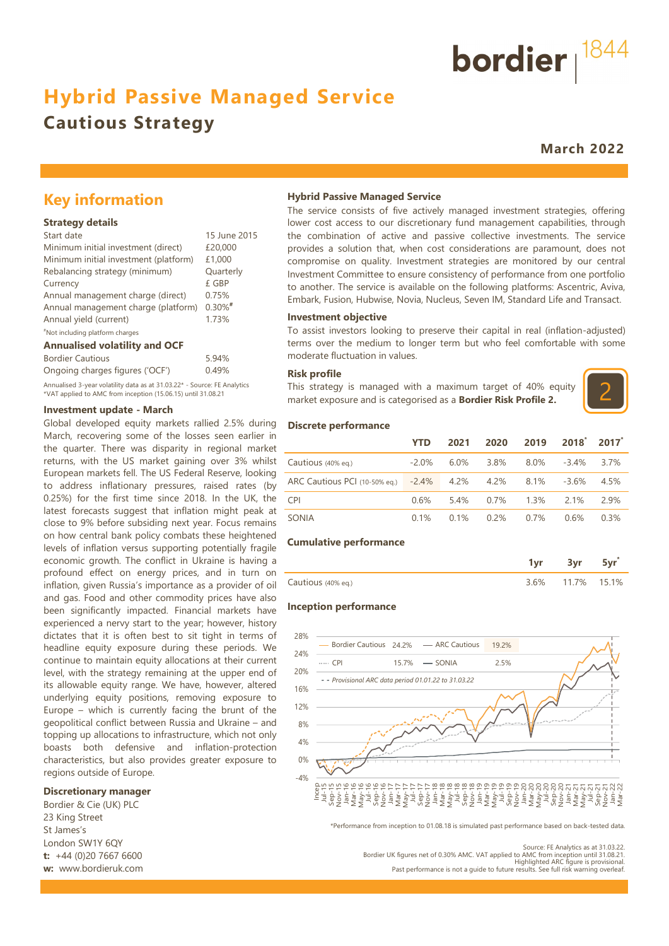## **Hybrid Passive Managed Service**

## **Cautious Strategy**

**March 2022**

bordier  $1844$ 

## **Key information**

#### **Strategy details**

| Start date                            | 15 June 2015 |
|---------------------------------------|--------------|
| Minimum initial investment (direct)   | £20,000      |
| Minimum initial investment (platform) | £1,000       |
| Rebalancing strategy (minimum)        | Quarterly    |
| Currency                              | £ GBP        |
| Annual management charge (direct)     | 0.75%        |
| Annual management charge (platform)   | $0.30\%$ #   |
| Annual yield (current)                | 1.73%        |
| "Not including platform charges       |              |

#### **Annualised volatility and OCF**

| <b>Bordier Cautious</b>                                                  | 5.94% |
|--------------------------------------------------------------------------|-------|
| Ongoing charges figures ('OCF')                                          | 0.49% |
| Annualised 3-year volatility data as at 31.03.22* - Source: FE Analytics |       |

\*VAT applied to AMC from inception (15.06.15) until 31.08.21

#### **Investment update - March**

Global developed equity markets rallied 2.5% during March, recovering some of the losses seen earlier in the quarter. There was disparity in regional market returns, with the US market gaining over 3% whilst European markets fell. The US Federal Reserve, looking to address inflationary pressures, raised rates (by 0.25%) for the first time since 2018. In the UK, the latest forecasts suggest that inflation might peak at close to 9% before subsiding next year. Focus remains on how central bank policy combats these heightened levels of inflation versus supporting potentially fragile economic growth. The conflict in Ukraine is having a profound effect on energy prices, and in turn on inflation, given Russia's importance as a provider of oil and gas. Food and other commodity prices have also been significantly impacted. Financial markets have experienced a nervy start to the year; however, history dictates that it is often best to sit tight in terms of headline equity exposure during these periods. We continue to maintain equity allocations at their current level, with the strategy remaining at the upper end of its allowable equity range. We have, however, altered underlying equity positions, removing exposure to Europe – which is currently facing the brunt of the geopolitical conflict between Russia and Ukraine – and topping up allocations to infrastructure, which not only boasts both defensive and inflation-protection characteristics, but also provides greater exposure to regions outside of Europe.  $-4\%$ 

#### **Discretionary manager**

Bordier & Cie (UK) PLC 23 King Street St James's London SW1Y 6QY **t:** +44 (0)20 7667 6600 **w:** www.bordieruk.com

#### **Hybrid Passive Managed Service**

The service consists of five actively managed investment strategies, offering lower cost access to our discretionary fund management capabilities, through the combination of active and passive collective investments. The service provides a solution that, when cost considerations are paramount, does not compromise on quality. Investment strategies are monitored by our central Investment Committee to ensure consistency of performance from one portfolio to another. The service is available on the following platforms: Ascentric, Aviva, Embark, Fusion, Hubwise, Novia, Nucleus, Seven IM, Standard Life and Transact.

#### **Investment objective**

To assist investors looking to preserve their capital in real (inflation-adjusted) terms over the medium to longer term but who feel comfortable with some moderate fluctuation in values.

#### **Risk profile**

This strategy is managed with a maximum target of 40% equity market exposure and is categorised as a **Bordier Risk Profile 2.**



#### **Discrete performance**

|                                                    | <b>YTD</b> | 2021    | 2020    | 2019    | $2018^{\circ}$ 2017 <sup>*</sup> |         |
|----------------------------------------------------|------------|---------|---------|---------|----------------------------------|---------|
| Cautious (40% eq.)                                 | $-2.0\%$   | $6.0\%$ | 3.8%    | 8.0%    | $-3.4\%$                         | 3.7%    |
| ARC Cautious PCI (10-50% eq.) -2.4% 4.2% 4.2% 8.1% |            |         |         |         | -3.6%                            | 4.5%    |
| <b>CPI</b>                                         | $0.6\%$    | 5.4%    | $0.7\%$ | $1.3\%$ | 2 1%                             | 2.9%    |
| SONIA                                              | $0.1\%$    | 0.1%    | 0.2%    | $0.7\%$ | $0.6\%$                          | $0.3\%$ |

#### **Cumulative performance**

| Cautious (40% eq.) | 6% | . د ۱۱ 17% | 151% |
|--------------------|----|------------|------|

#### **Inception performance**



\*Performance from inception to 01.08.18 is simulated past performance based on back-tested data.

Source: FE Analytics as at 31.03.22. Bordier UK figures net of 0.30% AMC. VAT applied to AMC from inception until 31.08.21. Highlighted ARC figure is provisional. Past performance is not a guide to future results. See full risk warning overleaf